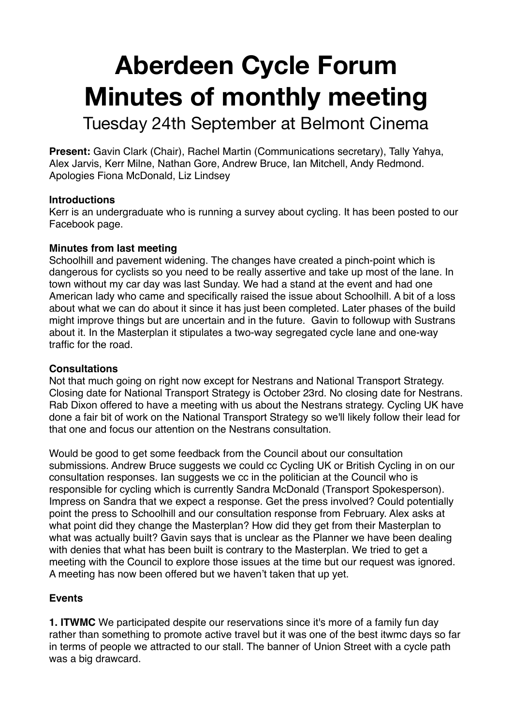# **Aberdeen Cycle Forum Minutes of monthly meeting**

Tuesday 24th September at Belmont Cinema

**Present:** Gavin Clark (Chair), Rachel Martin (Communications secretary), Tally Yahya, Alex Jarvis, Kerr Milne, Nathan Gore, Andrew Bruce, Ian Mitchell, Andy Redmond. Apologies Fiona McDonald, Liz Lindsey

#### **Introductions**

Kerr is an undergraduate who is running a survey about cycling. It has been posted to our Facebook page.

### **Minutes from last meeting**

Schoolhill and pavement widening. The changes have created a pinch-point which is dangerous for cyclists so you need to be really assertive and take up most of the lane. In town without my car day was last Sunday. We had a stand at the event and had one American lady who came and specifically raised the issue about Schoolhill. A bit of a loss about what we can do about it since it has just been completed. Later phases of the build might improve things but are uncertain and in the future. Gavin to followup with Sustrans about it. In the Masterplan it stipulates a two-way segregated cycle lane and one-way traffic for the road.

## **Consultations**

Not that much going on right now except for Nestrans and National Transport Strategy. Closing date for National Transport Strategy is October 23rd. No closing date for Nestrans. Rab Dixon offered to have a meeting with us about the Nestrans strategy. Cycling UK have done a fair bit of work on the National Transport Strategy so we'll likely follow their lead for that one and focus our attention on the Nestrans consultation.

Would be good to get some feedback from the Council about our consultation submissions. Andrew Bruce suggests we could cc Cycling UK or British Cycling in on our consultation responses. Ian suggests we cc in the politician at the Council who is responsible for cycling which is currently Sandra McDonald (Transport Spokesperson). Impress on Sandra that we expect a response. Get the press involved? Could potentially point the press to Schoolhill and our consultation response from February. Alex asks at what point did they change the Masterplan? How did they get from their Masterplan to what was actually built? Gavin says that is unclear as the Planner we have been dealing with denies that what has been built is contrary to the Masterplan. We tried to get a meeting with the Council to explore those issues at the time but our request was ignored. A meeting has now been offered but we haven't taken that up yet.

## **Events**

**1. ITWMC** We participated despite our reservations since it's more of a family fun day rather than something to promote active travel but it was one of the best itwmc days so far in terms of people we attracted to our stall. The banner of Union Street with a cycle path was a big drawcard.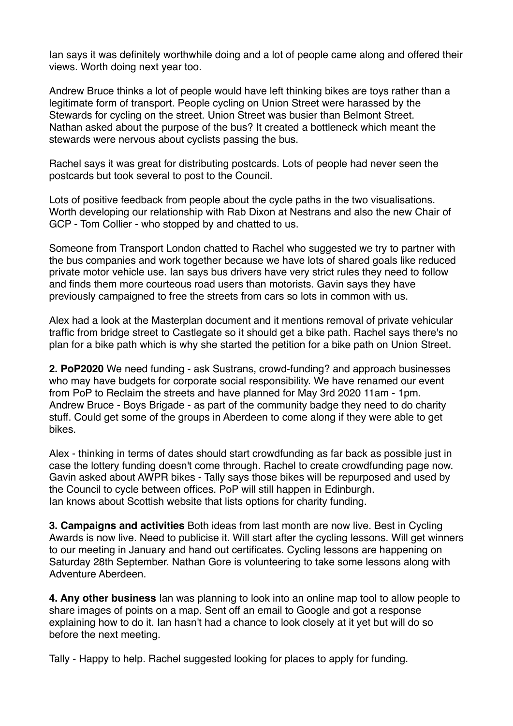Ian says it was definitely worthwhile doing and a lot of people came along and offered their views. Worth doing next year too.

Andrew Bruce thinks a lot of people would have left thinking bikes are toys rather than a legitimate form of transport. People cycling on Union Street were harassed by the Stewards for cycling on the street. Union Street was busier than Belmont Street. Nathan asked about the purpose of the bus? It created a bottleneck which meant the stewards were nervous about cyclists passing the bus.

Rachel says it was great for distributing postcards. Lots of people had never seen the postcards but took several to post to the Council.

Lots of positive feedback from people about the cycle paths in the two visualisations. Worth developing our relationship with Rab Dixon at Nestrans and also the new Chair of GCP - Tom Collier - who stopped by and chatted to us.

Someone from Transport London chatted to Rachel who suggested we try to partner with the bus companies and work together because we have lots of shared goals like reduced private motor vehicle use. Ian says bus drivers have very strict rules they need to follow and finds them more courteous road users than motorists. Gavin says they have previously campaigned to free the streets from cars so lots in common with us.

Alex had a look at the Masterplan document and it mentions removal of private vehicular traffic from bridge street to Castlegate so it should get a bike path. Rachel says there's no plan for a bike path which is why she started the petition for a bike path on Union Street.

**2. PoP2020** We need funding - ask Sustrans, crowd-funding? and approach businesses who may have budgets for corporate social responsibility. We have renamed our event from PoP to Reclaim the streets and have planned for May 3rd 2020 11am - 1pm. Andrew Bruce - Boys Brigade - as part of the community badge they need to do charity stuff. Could get some of the groups in Aberdeen to come along if they were able to get bikes.

Alex - thinking in terms of dates should start crowdfunding as far back as possible just in case the lottery funding doesn't come through. Rachel to create crowdfunding page now. Gavin asked about AWPR bikes - Tally says those bikes will be repurposed and used by the Council to cycle between offices. PoP will still happen in Edinburgh. Ian knows about Scottish website that lists options for charity funding.

**3. Campaigns and activities** Both ideas from last month are now live. Best in Cycling Awards is now live. Need to publicise it. Will start after the cycling lessons. Will get winners to our meeting in January and hand out certificates. Cycling lessons are happening on Saturday 28th September. Nathan Gore is volunteering to take some lessons along with Adventure Aberdeen.

**4. Any other business** Ian was planning to look into an online map tool to allow people to share images of points on a map. Sent off an email to Google and got a response explaining how to do it. Ian hasn't had a chance to look closely at it yet but will do so before the next meeting.

Tally - Happy to help. Rachel suggested looking for places to apply for funding.